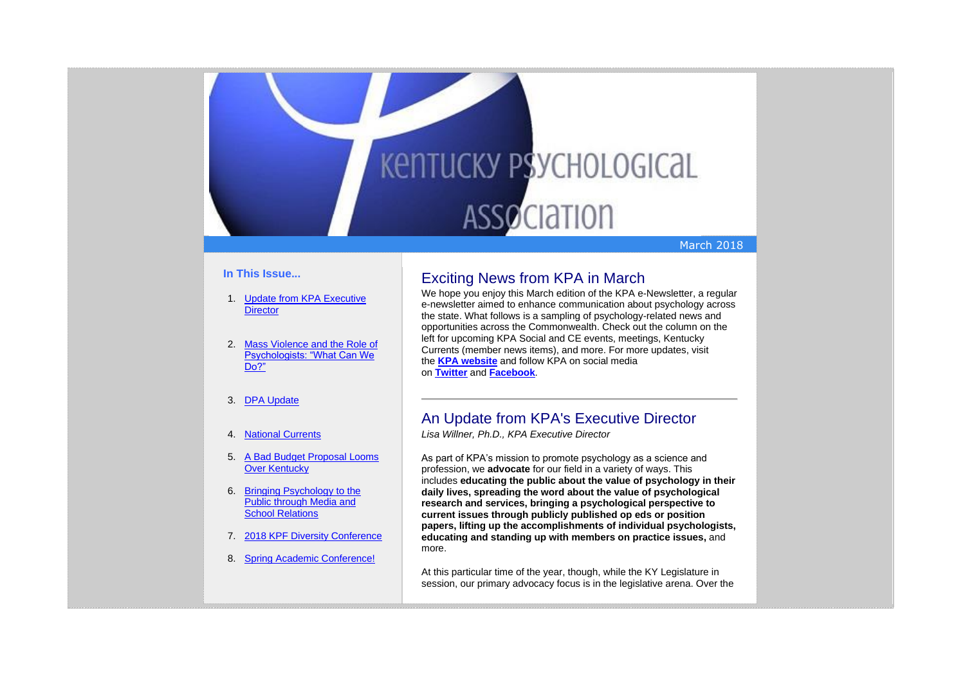# **KENTUCKY PSYCHOLOGICAL ASSOCIATION**

## March 2018

## **In This Issue...**

- 1. [Update from KPA Executive](https://kpa.memberclicks.net/administrator/index.php?option=com_mccore&view=contactcenter#edreport)  **[Director](https://kpa.memberclicks.net/administrator/index.php?option=com_mccore&view=contactcenter#edreport)**
- 2. [Mass Violence and the Role of](https://kpa.memberclicks.net/administrator/index.php?option=com_mccore&view=contactcenter#MassViolence)  [Psychologists: "What Can We](https://kpa.memberclicks.net/administrator/index.php?option=com_mccore&view=contactcenter#MassViolence)  [Do?"](https://kpa.memberclicks.net/administrator/index.php?option=com_mccore&view=contactcenter#MassViolence)
- 3. [DPA Update](https://kpa.memberclicks.net/administrator/index.php?option=com_mccore&view=contactcenter#DPAUpdate)

## 4. [National Currents](https://kpa.memberclicks.net/administrator/index.php?option=com_mccore&view=contactcenter#NationalCurrents)

- 5. [A Bad Budget Proposal Looms](https://kpa.memberclicks.net/administrator/index.php?option=com_mccore&view=contactcenter#budget)  [Over Kentucky](https://kpa.memberclicks.net/administrator/index.php?option=com_mccore&view=contactcenter#budget)
- 6. [Bringing Psychology to the](https://kpa.memberclicks.net/administrator/index.php?option=com_mccore&view=contactcenter#KPFMedia)  [Public through Media and](https://kpa.memberclicks.net/administrator/index.php?option=com_mccore&view=contactcenter#KPFMedia)  **[School Relations](https://kpa.memberclicks.net/administrator/index.php?option=com_mccore&view=contactcenter#KPFMedia)**
- 7. [2018 KPF Diversity Conference](https://kpa.memberclicks.net/administrator/index.php?option=com_mccore&view=contactcenter#DivConf)
- 8. [Spring Academic Conference!](https://kpa.memberclicks.net/administrator/index.php?option=com_mccore&view=contactcenter#SAC)

## Exciting News from KPA in March

We hope you enjoy this March edition of the KPA e-Newsletter, a regular e-newsletter aimed to enhance communication about psychology across the state. What follows is a sampling of psychology-related news and opportunities across the Commonwealth. Check out the column on the left for upcoming KPA Social and CE events, meetings, Kentucky Currents (member news items), and more. For more updates, visit the **KPA [website](http://www.kpa.org/)** and follow KPA on social media on **[Twitter](https://twitter.com/KYPsychAssoc)** and **[Facebook](https://www.facebook.com/KentuckyPsychAssociation/)**.

## An Update from KPA's Executive Director

*Lisa Willner, Ph.D., KPA Executive Director*

As part of KPA's mission to promote psychology as a science and profession, we **advocate** for our field in a variety of ways. This includes **educating the public about the value of psychology in their daily lives, spreading the word about the value of psychological research and services, bringing a psychological perspective to current issues through publicly published op eds or position papers, lifting up the accomplishments of individual psychologists, educating and standing up with members on practice issues,** and more.

At this particular time of the year, though, while the KY Legislature in session, our primary advocacy focus is in the legislative arena. Over the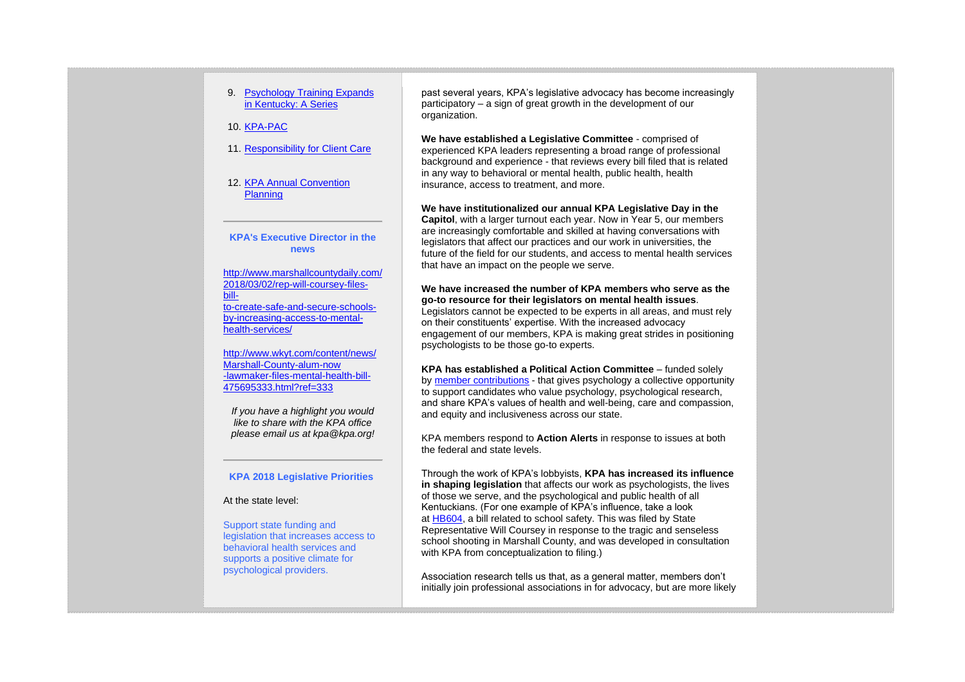## 9. [Psychology Training Expands](https://kpa.memberclicks.net/administrator/index.php?option=com_mccore&view=contactcenter#PsychTrainingKY)  [in Kentucky: A Series](https://kpa.memberclicks.net/administrator/index.php?option=com_mccore&view=contactcenter#PsychTrainingKY)

10. [KPA-PAC](https://kpa.memberclicks.net/administrator/index.php?option=com_mccore&view=contactcenter#kpa-pac)

## 11. [Responsibility for Client Care](https://kpa.memberclicks.net/administrator/index.php?option=com_mccore&view=contactcenter#ethicsclientcare)

12. [KPA Annual Convention](https://kpa.memberclicks.net/administrator/index.php?option=com_mccore&view=contactcenter#ConvUpdate)  [Planning](https://kpa.memberclicks.net/administrator/index.php?option=com_mccore&view=contactcenter#ConvUpdate)

## **KPA's Executive Director in the news**

[http://www.marshallcountydaily.com/](http://www.marshallcountydaily.com/2018/03/02/rep-will-coursey-files-bill-to-create-safe-and-secure-schools-by-increasing-access-to-mental-health-services/) [2018/03/02/rep-will-coursey-files](http://www.marshallcountydaily.com/2018/03/02/rep-will-coursey-files-bill-to-create-safe-and-secure-schools-by-increasing-access-to-mental-health-services/)[bill](http://www.marshallcountydaily.com/2018/03/02/rep-will-coursey-files-bill-to-create-safe-and-secure-schools-by-increasing-access-to-mental-health-services/)[to-create-safe-and-secure-schools](http://www.marshallcountydaily.com/2018/03/02/rep-will-coursey-files-bill-to-create-safe-and-secure-schools-by-increasing-access-to-mental-health-services/)[by-increasing-access-to-mental](http://www.marshallcountydaily.com/2018/03/02/rep-will-coursey-files-bill-to-create-safe-and-secure-schools-by-increasing-access-to-mental-health-services/)[health-services/](http://www.marshallcountydaily.com/2018/03/02/rep-will-coursey-files-bill-to-create-safe-and-secure-schools-by-increasing-access-to-mental-health-services/)

[http://www.wkyt.com/content/news/](http://www.wkyt.com/content/news/Marshall-County-alum-now-lawmaker-files-mental-health-bill-475695333.html?ref=333) [Marshall-County-alum-now](http://www.wkyt.com/content/news/Marshall-County-alum-now-lawmaker-files-mental-health-bill-475695333.html?ref=333) [-lawmaker-files-mental-health-bill-](http://www.wkyt.com/content/news/Marshall-County-alum-now-lawmaker-files-mental-health-bill-475695333.html?ref=333)[475695333.html?ref=333](http://www.wkyt.com/content/news/Marshall-County-alum-now-lawmaker-files-mental-health-bill-475695333.html?ref=333)

*If you have a highlight you would like to share with the KPA office please email us at kpa@kpa.org!*

## **KPA 2018 Legislative Priorities**

## At the state level:

Support state funding and legislation that increases access to behavioral health services and supports a positive climate for psychological providers.

past several years, KPA's legislative advocacy has become increasingly participatory – a sign of great growth in the development of our organization.

**We have established a Legislative Committee** - comprised of experienced KPA leaders representing a broad range of professional background and experience - that reviews every bill filed that is related in any way to behavioral or mental health, public health, health insurance, access to treatment, and more.

**We have institutionalized our annual KPA Legislative Day in the Capitol**, with a larger turnout each year. Now in Year 5, our members are increasingly comfortable and skilled at having conversations with legislators that affect our practices and our work in universities, the future of the field for our students, and access to mental health services that have an impact on the people we serve.

**We have increased the number of KPA members who serve as the go-to resource for their legislators on mental health issues**. Legislators cannot be expected to be experts in all areas, and must rely on their constituents' expertise. With the increased advocacy engagement of our members, KPA is making great strides in positioning psychologists to be those go-to experts.

**KPA has established a Political Action Committee** – funded solely by [member contributions](http://kpapac.squarespace.com/take-action/) - that gives psychology a collective opportunity to support candidates who value psychology, psychological research, and share KPA's values of health and well-being, care and compassion, and equity and inclusiveness across our state.

KPA members respond to **Action Alerts** in response to issues at both the federal and state levels.

Through the work of KPA's lobbyists, **KPA has increased its influence in shaping legislation** that affects our work as psychologists, the lives of those we serve, and the psychological and public health of all Kentuckians. (For one example of KPA's influence, take a look at [HB604,](http://www.lrc.ky.gov/record/18RS/HB604.htm) a bill related to school safety. This was filed by State Representative Will Coursey in response to the tragic and senseless school shooting in Marshall County, and was developed in consultation with KPA from conceptualization to filing.)

Association research tells us that, as a general matter, members don't initially join professional associations in for advocacy, but are more likely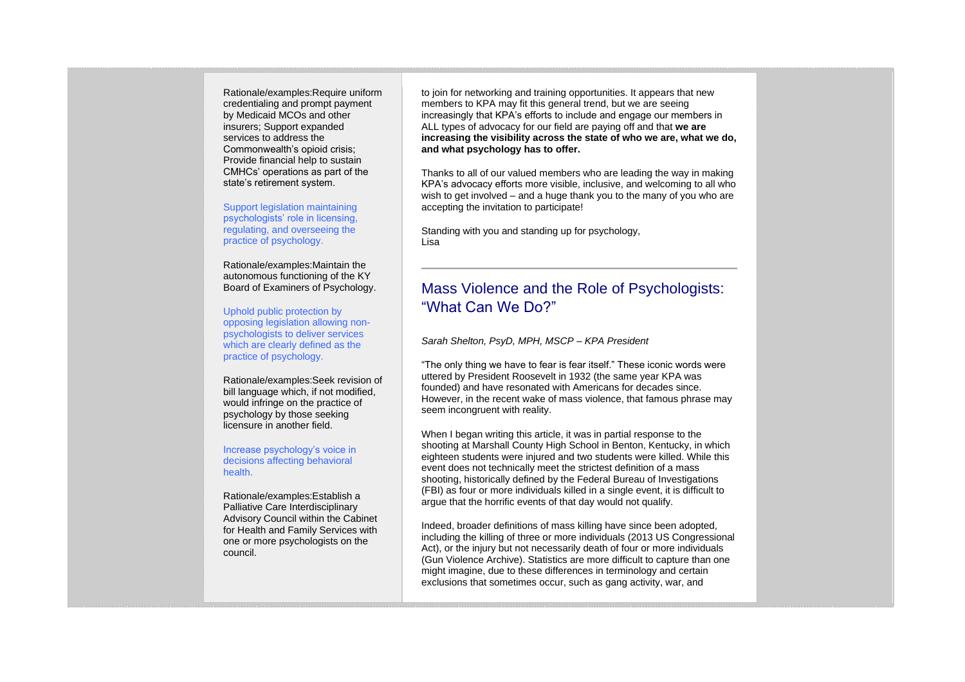Rationale/examples:Require uniform credentialing and prompt payment by Medicaid MCOs and other insurers; Support expanded services to address the Commonwealth's opioid crisis; Provide financial help to sustain CMHCs' operations as part of the state's retirement system.

Support legislation maintaining psychologists' role in licensing, regulating, and overseeing the practice of psychology.

Rationale/examples:Maintain the autonomous functioning of the KY Board of Examiners of Psychology.

Uphold public protection by opposing legislation allowing nonpsychologists to deliver services which are clearly defined as the practice of psychology.

Rationale/examples:Seek revision of bill language which, if not modified, would infringe on the practice of psychology by those seeking licensure in another field.

Increase psychology's voice in decisions affecting behavioral health.

Rationale/examples:Establish a Palliative Care Interdisciplinary Advisory Council within the Cabinet for Health and Family Services with one or more psychologists on the council.

to join for networking and training opportunities. It appears that new members to KPA may fit this general trend, but we are seeing increasingly that KPA's efforts to include and engage our members in ALL types of advocacy for our field are paying off and that **we are increasing the visibility across the state of who we are, what we do, and what psychology has to offer.**

Thanks to all of our valued members who are leading the way in making KPA's advocacy efforts more visible, inclusive, and welcoming to all who wish to get involved – and a huge thank you to the many of you who are accepting the invitation to participate!

Standing with you and standing up for psychology, Lisa

## Mass Violence and the Role of Psychologists: "What Can We Do?"

*Sarah Shelton, PsyD, MPH, MSCP – KPA President*

"The only thing we have to fear is fear itself." These iconic words were uttered by President Roosevelt in 1932 (the same year KPA was founded) and have resonated with Americans for decades since. However, in the recent wake of mass violence, that famous phrase may seem incongruent with reality.

When I began writing this article, it was in partial response to the shooting at Marshall County High School in Benton, Kentucky, in which eighteen students were injured and two students were killed. While this event does not technically meet the strictest definition of a mass shooting, historically defined by the Federal Bureau of Investigations (FBI) as four or more individuals killed in a single event, it is difficult to argue that the horrific events of that day would not qualify.

Indeed, broader definitions of mass killing have since been adopted, including the killing of three or more individuals (2013 US Congressional Act), or the injury but not necessarily death of four or more individuals (Gun Violence Archive). Statistics are more difficult to capture than one might imagine, due to these differences in terminology and certain exclusions that sometimes occur, such as gang activity, war, and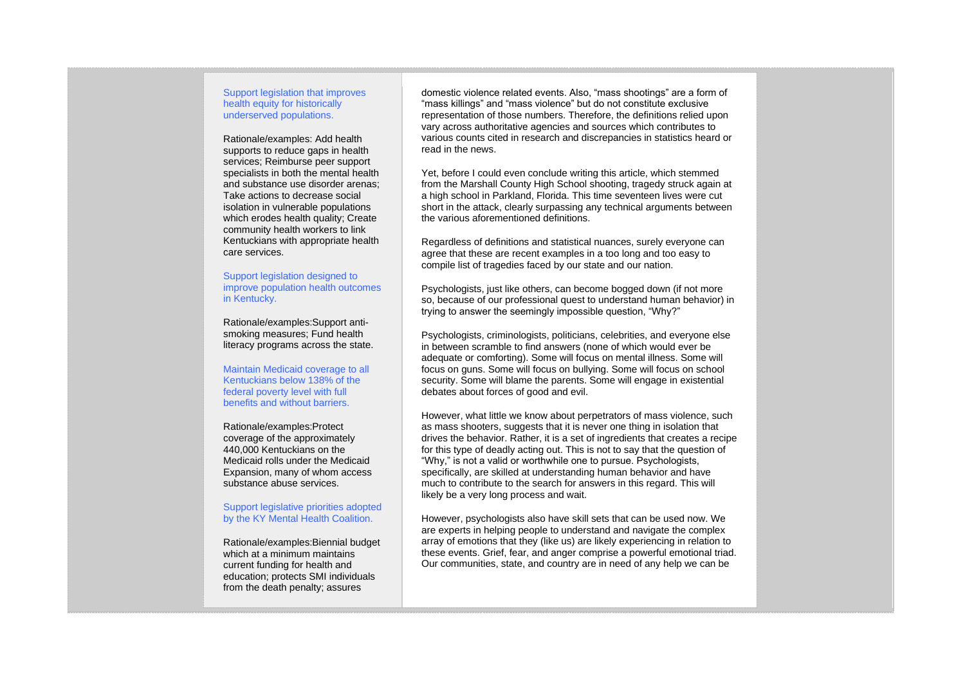## Support legislation that improves health equity for historically underserved populations.

Rationale/examples: Add health supports to reduce gaps in health services; Reimburse peer support specialists in both the mental health and substance use disorder arenas; Take actions to decrease social isolation in vulnerable populations which erodes health quality; Create community health workers to link Kentuckians with appropriate health care services.

Support legislation designed to improve population health outcomes in Kentucky.

Rationale/examples:Support antismoking measures; Fund health literacy programs across the state.

Maintain Medicaid coverage to all Kentuckians below 138% of the federal poverty level with full benefits and without barriers.

Rationale/examples:Protect coverage of the approximately 440,000 Kentuckians on the Medicaid rolls under the Medicaid Expansion, many of whom access substance abuse services.

#### Support legislative priorities adopted by the KY Mental Health Coalition.

Rationale/examples:Biennial budget which at a minimum maintains current funding for health and education; protects SMI individuals from the death penalty; assures

domestic violence related events. Also, "mass shootings" are a form of "mass killings" and "mass violence" but do not constitute exclusive representation of those numbers. Therefore, the definitions relied upon vary across authoritative agencies and sources which contributes to various counts cited in research and discrepancies in statistics heard or read in the news.

Yet, before I could even conclude writing this article, which stemmed from the Marshall County High School shooting, tragedy struck again at a high school in Parkland, Florida. This time seventeen lives were cut short in the attack, clearly surpassing any technical arguments between the various aforementioned definitions.

Regardless of definitions and statistical nuances, surely everyone can agree that these are recent examples in a too long and too easy to compile list of tragedies faced by our state and our nation.

Psychologists, just like others, can become bogged down (if not more so, because of our professional quest to understand human behavior) in trying to answer the seemingly impossible question, "Why?"

Psychologists, criminologists, politicians, celebrities, and everyone else in between scramble to find answers (none of which would ever be adequate or comforting). Some will focus on mental illness. Some will focus on guns. Some will focus on bullying. Some will focus on school security. Some will blame the parents. Some will engage in existential debates about forces of good and evil.

However, what little we know about perpetrators of mass violence, such as mass shooters, suggests that it is never one thing in isolation that drives the behavior. Rather, it is a set of ingredients that creates a recipe for this type of deadly acting out. This is not to say that the question of "Why," is not a valid or worthwhile one to pursue. Psychologists, specifically, are skilled at understanding human behavior and have much to contribute to the search for answers in this regard. This will likely be a very long process and wait.

However, psychologists also have skill sets that can be used now. We are experts in helping people to understand and navigate the complex array of emotions that they (like us) are likely experiencing in relation to these events. Grief, fear, and anger comprise a powerful emotional triad. Our communities, state, and country are in need of any help we can be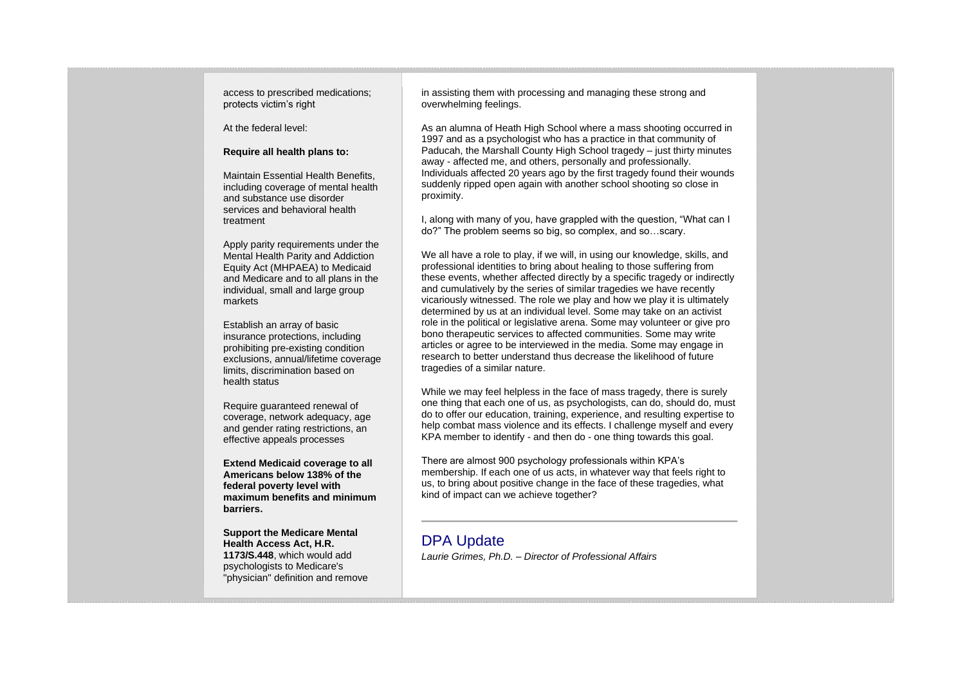access to prescribed medications; protects victim's right

At the federal level:

#### **Require all health plans to:**

Maintain Essential Health Benefits, including coverage of mental health and substance use disorder services and behavioral health treatment

Apply parity requirements under the Mental Health Parity and Addiction Equity Act (MHPAEA) to Medicaid and Medicare and to all plans in the individual, small and large group markets

Establish an array of basic insurance protections, including prohibiting pre-existing condition exclusions, annual/lifetime coverage limits, discrimination based on health status

Require guaranteed renewal of coverage, network adequacy, age and gender rating restrictions, an effective appeals processes

**Extend Medicaid coverage to all Americans below 138% of the federal poverty level with maximum benefits and minimum barriers.**

**Support the Medicare Mental Health Access Act, H.R. 1173/S.448**, which would add psychologists to Medicare's "physician" definition and remove in assisting them with processing and managing these strong and overwhelming feelings.

As an alumna of Heath High School where a mass shooting occurred in 1997 and as a psychologist who has a practice in that community of Paducah, the Marshall County High School tragedy – just thirty minutes away - affected me, and others, personally and professionally. Individuals affected 20 years ago by the first tragedy found their wounds suddenly ripped open again with another school shooting so close in proximity.

I, along with many of you, have grappled with the question, "What can I do?" The problem seems so big, so complex, and so…scary.

We all have a role to play, if we will, in using our knowledge, skills, and professional identities to bring about healing to those suffering from these events, whether affected directly by a specific tragedy or indirectly and cumulatively by the series of similar tragedies we have recently vicariously witnessed. The role we play and how we play it is ultimately determined by us at an individual level. Some may take on an activist role in the political or legislative arena. Some may volunteer or give pro bono therapeutic services to affected communities. Some may write articles or agree to be interviewed in the media. Some may engage in research to better understand thus decrease the likelihood of future tragedies of a similar nature.

While we may feel helpless in the face of mass tragedy, there is surely one thing that each one of us, as psychologists, can do, should do, must do to offer our education, training, experience, and resulting expertise to help combat mass violence and its effects. I challenge myself and every KPA member to identify - and then do - one thing towards this goal.

There are almost 900 psychology professionals within KPA's membership. If each one of us acts, in whatever way that feels right to us, to bring about positive change in the face of these tragedies, what kind of impact can we achieve together?

## DPA Update

*Laurie Grimes, Ph.D. – Director of Professional Affairs*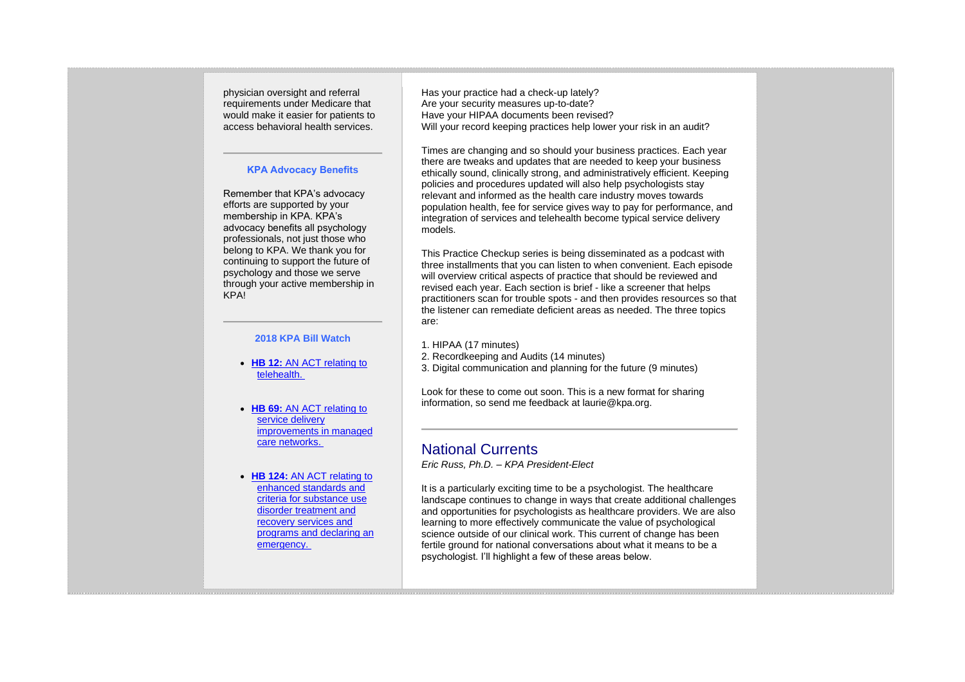physician oversight and referral requirements under Medicare that would make it easier for patients to access behavioral health services.

## **KPA Advocacy Benefits**

Remember that KPA's advocacy efforts are supported by your membership in KPA. KPA's advocacy benefits all psychology professionals, not just those who belong to KPA. We thank you for continuing to support the future of psychology and those we serve through your active membership in KPA!

## **2018 KPA Bill Watch**

- **HB 12:** AN ACT relating to [telehealth.](http://www.lrc.ky.gov/record/18RS/HB12.htm)
- **HB 69:** [AN ACT relating to](http://www.lrc.ky.gov/record/18RS/HB69.htm)  [service delivery](http://www.lrc.ky.gov/record/18RS/HB69.htm)  [improvements in managed](http://www.lrc.ky.gov/record/18RS/HB69.htm)  [care networks.](http://www.lrc.ky.gov/record/18RS/HB69.htm)
- **HB 124:** [AN ACT relating to](http://www.lrc.ky.gov/record/18RS/HB124.htm)  [enhanced standards and](http://www.lrc.ky.gov/record/18RS/HB124.htm)  [criteria for substance use](http://www.lrc.ky.gov/record/18RS/HB124.htm)  [disorder treatment and](http://www.lrc.ky.gov/record/18RS/HB124.htm)  [recovery services and](http://www.lrc.ky.gov/record/18RS/HB124.htm)  [programs and declaring an](http://www.lrc.ky.gov/record/18RS/HB124.htm)  [emergency.](http://www.lrc.ky.gov/record/18RS/HB124.htm)

Has your practice had a check-up lately? Are your security measures up-to-date? Have your HIPAA documents been revised? Will your record keeping practices help lower your risk in an audit?

Times are changing and so should your business practices. Each year there are tweaks and updates that are needed to keep your business ethically sound, clinically strong, and administratively efficient. Keeping policies and procedures updated will also help psychologists stay relevant and informed as the health care industry moves towards population health, fee for service gives way to pay for performance, and integration of services and telehealth become typical service delivery models.

This Practice Checkup series is being disseminated as a podcast with three installments that you can listen to when convenient. Each episode will overview critical aspects of practice that should be reviewed and revised each year. Each section is brief - like a screener that helps practitioners scan for trouble spots - and then provides resources so that the listener can remediate deficient areas as needed. The three topics are:

- 1. HIPAA (17 minutes)
- 2. Recordkeeping and Audits (14 minutes)
- 3. Digital communication and planning for the future (9 minutes)

Look for these to come out soon. This is a new format for sharing information, so send me feedback at laurie@kpa.org.

## National Currents

*Eric Russ, Ph.D. – KPA President-Elect*

It is a particularly exciting time to be a psychologist. The healthcare landscape continues to change in ways that create additional challenges and opportunities for psychologists as healthcare providers. We are also learning to more effectively communicate the value of psychological science outside of our clinical work. This current of change has been fertile ground for national conversations about what it means to be a psychologist. I'll highlight a few of these areas below.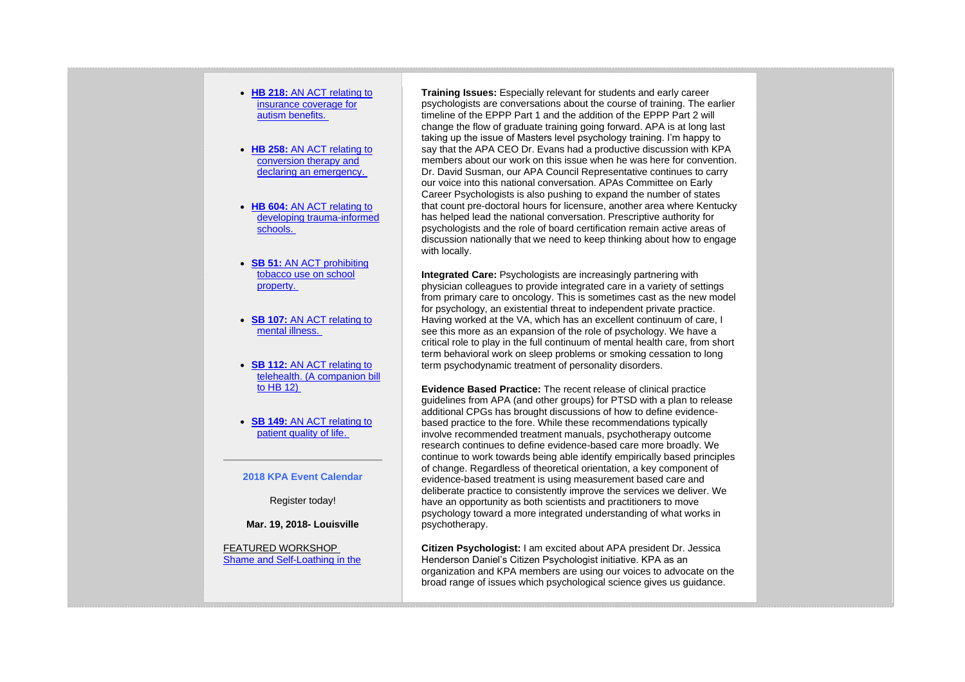- **HB 218:** [AN ACT relating to](http://www.lrc.ky.gov/record/18RS/HB218.htm)  [insurance coverage for](http://www.lrc.ky.gov/record/18RS/HB218.htm)  [autism benefits.](http://www.lrc.ky.gov/record/18RS/HB218.htm)
- **HB 258:** [AN ACT relating to](http://www.lrc.ky.gov/record/18RS/HB258.htm)  [conversion therapy and](http://www.lrc.ky.gov/record/18RS/HB258.htm)  [declaring an emergency.](http://www.lrc.ky.gov/record/18RS/HB258.htm)
- **HB 604:** [AN ACT relating to](http://www.lrc.ky.gov/record/18RS/HB604.htm)  [developing trauma-informed](http://www.lrc.ky.gov/record/18RS/HB604.htm)  [schools.](http://www.lrc.ky.gov/record/18RS/HB604.htm)
- **SB 51:** [AN ACT prohibiting](http://www.lrc.ky.gov/record/18RS/SB51.htm)  [tobacco use on school](http://www.lrc.ky.gov/record/18RS/SB51.htm)  [property.](http://www.lrc.ky.gov/record/18RS/SB51.htm)
- **SB 107:** [AN ACT relating to](http://www.lrc.ky.gov/record/18RS/SB107.htm)  [mental illness.](http://www.lrc.ky.gov/record/18RS/SB107.htm)
- **SB 112:** [AN ACT relating to](http://www.lrc.ky.gov/record/18RS/SB112.htm)  [telehealth. \(A companion bill](http://www.lrc.ky.gov/record/18RS/SB112.htm)  [to HB 12\)](http://www.lrc.ky.gov/record/18RS/SB112.htm)
- **SB 149:** [AN ACT relating to](http://www.lrc.ky.gov/record/18RS/SB149.htm)  [patient quality of life.](http://www.lrc.ky.gov/record/18RS/SB149.htm)

## **2018 KPA Event Calendar**

Register today!

**Mar. 19, 2018- Louisville**

## FEATURED WORKSHOP [Shame and Self-Loathing in the](https://kpa.memberclicks.net/index.php?option=com_jevents&task=icalevent.detail&evid=27)

**Training Issues:** Especially relevant for students and early career psychologists are conversations about the course of training. The earlier timeline of the EPPP Part 1 and the addition of the EPPP Part 2 will change the flow of graduate training going forward. APA is at long last taking up the issue of Masters level psychology training. I'm happy to say that the APA CEO Dr. Evans had a productive discussion with KPA members about our work on this issue when he was here for convention. Dr. David Susman, our APA Council Representative continues to carry our voice into this national conversation. APAs Committee on Early Career Psychologists is also pushing to expand the number of states that count pre-doctoral hours for licensure, another area where Kentucky has helped lead the national conversation. Prescriptive authority for psychologists and the role of board certification remain active areas of discussion nationally that we need to keep thinking about how to engage with locally.

**Integrated Care:** Psychologists are increasingly partnering with physician colleagues to provide integrated care in a variety of settings from primary care to oncology. This is sometimes cast as the new model for psychology, an existential threat to independent private practice. Having worked at the VA, which has an excellent continuum of care, I see this more as an expansion of the role of psychology. We have a critical role to play in the full continuum of mental health care, from short term behavioral work on sleep problems or smoking cessation to long term psychodynamic treatment of personality disorders.

**Evidence Based Practice:** The recent release of clinical practice guidelines from APA (and other groups) for PTSD with a plan to release additional CPGs has brought discussions of how to define evidencebased practice to the fore. While these recommendations typically involve recommended treatment manuals, psychotherapy outcome research continues to define evidence-based care more broadly. We continue to work towards being able identify empirically based principles of change. Regardless of theoretical orientation, a key component of evidence-based treatment is using measurement based care and deliberate practice to consistently improve the services we deliver. We have an opportunity as both scientists and practitioners to move psychology toward a more integrated understanding of what works in psychotherapy.

**Citizen Psychologist:** I am excited about APA president Dr. Jessica Henderson Daniel's Citizen Psychologist initiative. KPA as an organization and KPA members are using our voices to advocate on the broad range of issues which psychological science gives us guidance.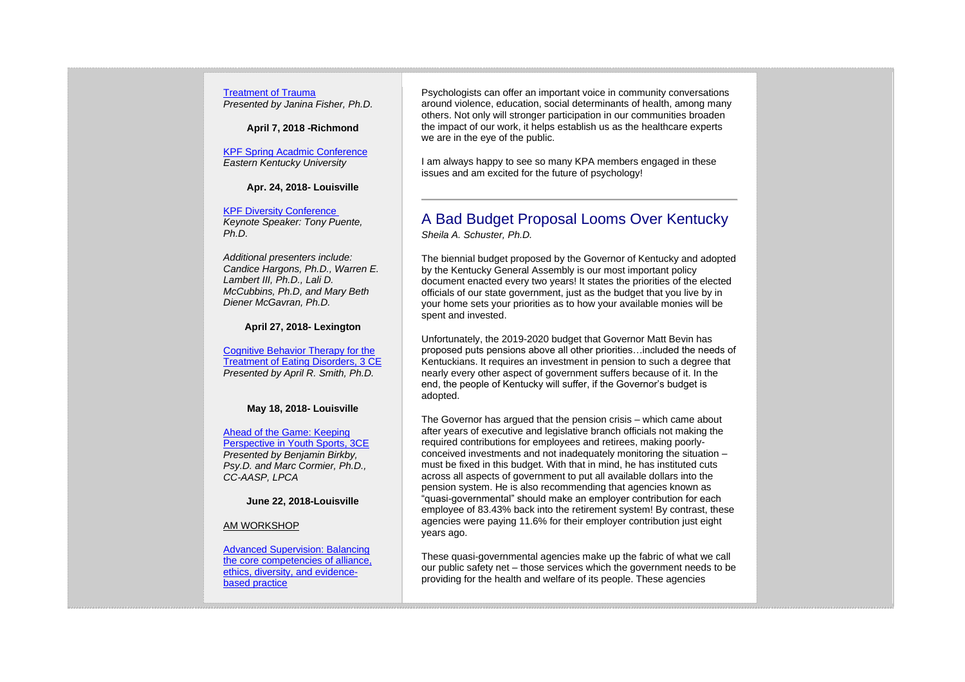## [Treatment of Trauma](https://kpa.memberclicks.net/index.php?option=com_jevents&task=icalevent.detail&evid=27)

*Presented by Janina Fisher, Ph.D.*

**April 7, 2018 -Richmond**

[KPF Spring Acadmic Conference](https://kpa.memberclicks.net/index.php?option=com_jevents&task=icalevent.detail&evid=29) *Eastern Kentucky University*

**Apr. 24, 2018- Louisville**

[KPF Diversity Conference](https://kpa.memberclicks.net/index.php?option=com_jevents&task=icalevent.detail&evid=30) *Keynote Speaker: Tony Puente, Ph.D.*

*Additional presenters include: Candice Hargons, Ph.D., Warren E. Lambert III, Ph.D., Lali D. McCubbins, Ph.D, and Mary Beth Diener McGavran, Ph.D.*

**April 27, 2018- Lexington**

[Cognitive Behavior Therapy for the](https://kpa.memberclicks.net/index.php?option=com_jevents&task=icalevent.detail&evid=34)  [Treatment of Eating Disorders, 3 CE](https://kpa.memberclicks.net/index.php?option=com_jevents&task=icalevent.detail&evid=34) *Presented by April R. Smith, Ph.D.*

#### **May 18, 2018- Louisville**

[Ahead of the Game: Keeping](https://kpa.memberclicks.net/index.php?option=com_jevents&task=icalevent.detail&evid=35)  [Perspective in Youth Sports, 3CE](https://kpa.memberclicks.net/index.php?option=com_jevents&task=icalevent.detail&evid=35) *Presented by Benjamin Birkby, Psy.D. and Marc Cormier, Ph.D., CC-AASP, LPCA*

**June 22, 2018-Louisville**

AM WORKSHOP

[Advanced Supervision: Balancing](https://kpa.memberclicks.net/index.php?option=com_jevents&task=icalevent.detail&evid=32)  [the core competencies of alliance,](https://kpa.memberclicks.net/index.php?option=com_jevents&task=icalevent.detail&evid=32)  [ethics, diversity, and evidence](https://kpa.memberclicks.net/index.php?option=com_jevents&task=icalevent.detail&evid=32)[based practice](https://kpa.memberclicks.net/index.php?option=com_jevents&task=icalevent.detail&evid=32)

Psychologists can offer an important voice in community conversations around violence, education, social determinants of health, among many others. Not only will stronger participation in our communities broaden the impact of our work, it helps establish us as the healthcare experts we are in the eye of the public.

I am always happy to see so many KPA members engaged in these issues and am excited for the future of psychology!

## A Bad Budget Proposal Looms Over Kentucky *Sheila A. Schuster, Ph.D.*

The biennial budget proposed by the Governor of Kentucky and adopted by the Kentucky General Assembly is our most important policy document enacted every two years! It states the priorities of the elected officials of our state government, just as the budget that you live by in your home sets your priorities as to how your available monies will be spent and invested.

Unfortunately, the 2019-2020 budget that Governor Matt Bevin has proposed puts pensions above all other priorities…included the needs of Kentuckians. It requires an investment in pension to such a degree that nearly every other aspect of government suffers because of it. In the end, the people of Kentucky will suffer, if the Governor's budget is adopted.

The Governor has argued that the pension crisis – which came about after years of executive and legislative branch officials not making the required contributions for employees and retirees, making poorlyconceived investments and not inadequately monitoring the situation – must be fixed in this budget. With that in mind, he has instituted cuts across all aspects of government to put all available dollars into the pension system. He is also recommending that agencies known as "quasi-governmental" should make an employer contribution for each employee of 83.43% back into the retirement system! By contrast, these agencies were paying 11.6% for their employer contribution just eight years ago.

These quasi-governmental agencies make up the fabric of what we call our public safety net – those services which the government needs to be providing for the health and welfare of its people. These agencies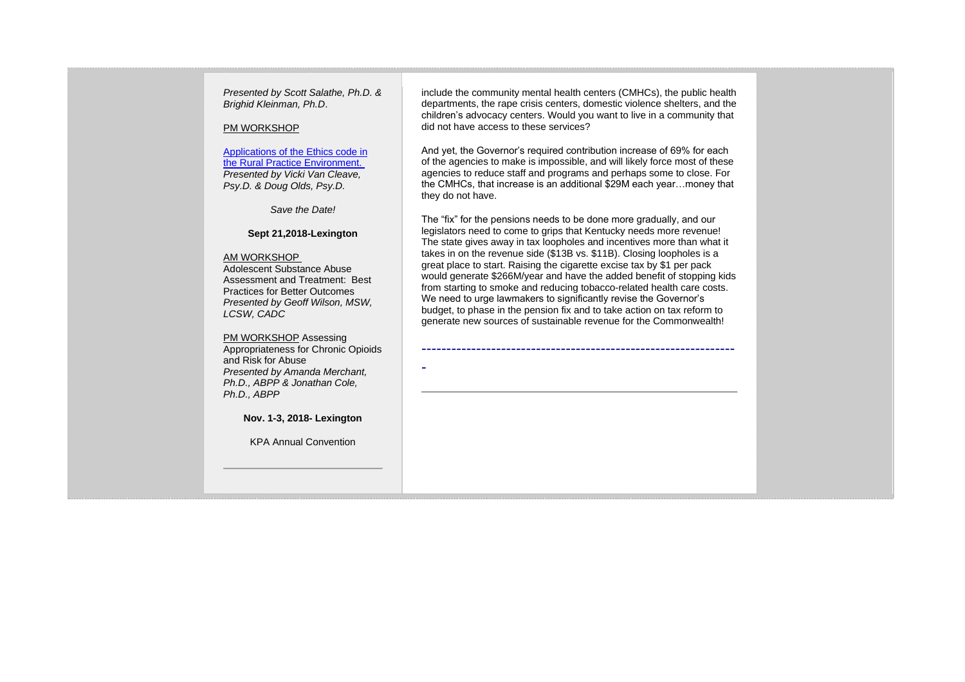*Presented by Scott Salathe, Ph.D. & Brighid Kleinman, Ph.D*.

#### PM WORKSHOP

[Applications of the Ethics code in](https://kpa.memberclicks.net/index.php?option=com_jevents&task=icalevent.detail&evid=32)  [the Rural Practice Environment.](https://kpa.memberclicks.net/index.php?option=com_jevents&task=icalevent.detail&evid=32) *Presented by Vicki Van Cleave, Psy.D. & Doug Olds, Psy.D.*

*Save the Date!*

## **Sept 21,2018-Lexington**

#### AM WORKSHOP

Adolescent Substance Abuse Assessment and Treatment: Best Practices for Better Outcomes *Presented by Geoff Wilson, MSW, LCSW, CADC*

PM WORKSHOP Assessing Appropriateness for Chronic Opioids and Risk for Abuse *Presented by Amanda Merchant, Ph.D., ABPP & Jonathan Cole, Ph.D., ABPP*

-

**Nov. 1-3, 2018- Lexington**

KPA Annual Convention

include the community mental health centers (CMHCs), the public health departments, the rape crisis centers, domestic violence shelters, and the children's advocacy centers. Would you want to live in a community that did not have access to these services?

And yet, the Governor's required contribution increase of 69% for each of the agencies to make is impossible, and will likely force most of these agencies to reduce staff and programs and perhaps some to close. For the CMHCs, that increase is an additional \$29M each year…money that they do not have.

The "fix" for the pensions needs to be done more gradually, and our legislators need to come to grips that Kentucky needs more revenue! The state gives away in tax loopholes and incentives more than what it takes in on the revenue side (\$13B vs. \$11B). Closing loopholes is a great place to start. Raising the cigarette excise tax by \$1 per pack would generate \$266M/year and have the added benefit of stopping kids from starting to smoke and reducing tobacco-related health care costs. We need to urge lawmakers to significantly revise the Governor's budget, to phase in the pension fix and to take action on tax reform to generate new sources of sustainable revenue for the Commonwealth!

---------------------------------------------------------------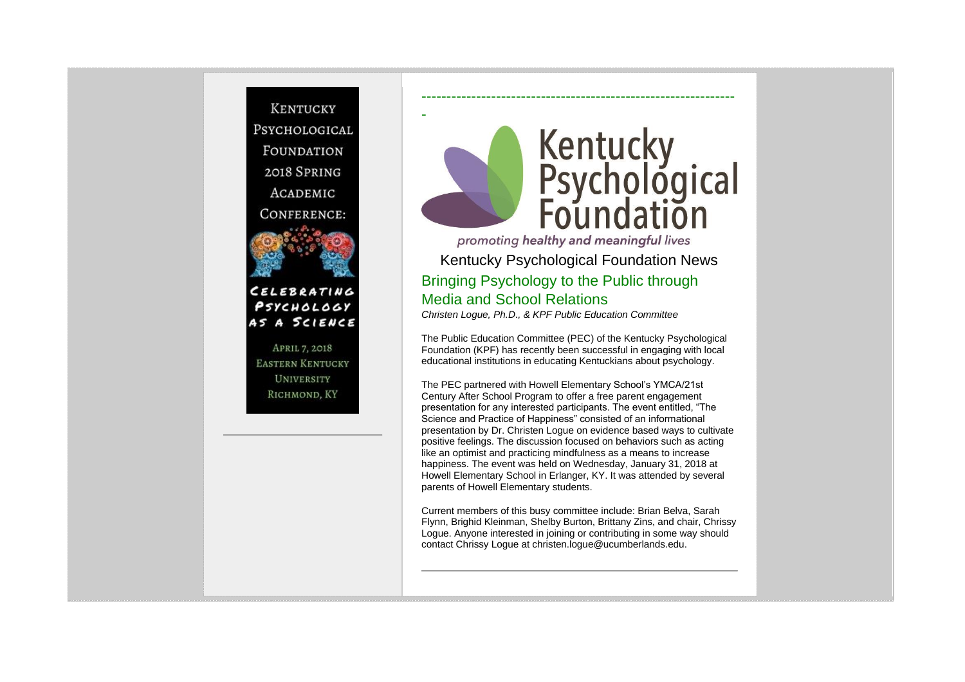

-

PSYCHOLOGY

**UNIVERSITY** RICHMOND, KY



promoting healthy and meaningful lives Kentucky Psychological Foundation News Bringing Psychology to the Public through Media and School Relations *Christen Logue, Ph.D., & KPF Public Education Committee*

---------------------------------------------------------------

The Public Education Committee (PEC) of the Kentucky Psychological Foundation (KPF) has recently been successful in engaging with local

educational institutions in educating Kentuckians about psychology.

The PEC partnered with Howell Elementary School's YMCA/21st Century After School Program to offer a free parent engagement presentation for any interested participants. The event entitled, "The Science and Practice of Happiness" consisted of an informational presentation by Dr. Christen Logue on evidence based ways to cultivate positive feelings. The discussion focused on behaviors such as acting like an optimist and practicing mindfulness as a means to increase happiness. The event was held on Wednesday, January 31, 2018 at Howell Elementary School in Erlanger, KY. It was attended by several parents of Howell Elementary students.

Current members of this busy committee include: Brian Belva, Sarah Flynn, Brighid Kleinman, Shelby Burton, Brittany Zins, and chair, Chrissy Logue. Anyone interested in joining or contributing in some way should contact Chrissy Logue at christen.logue@ucumberlands.edu.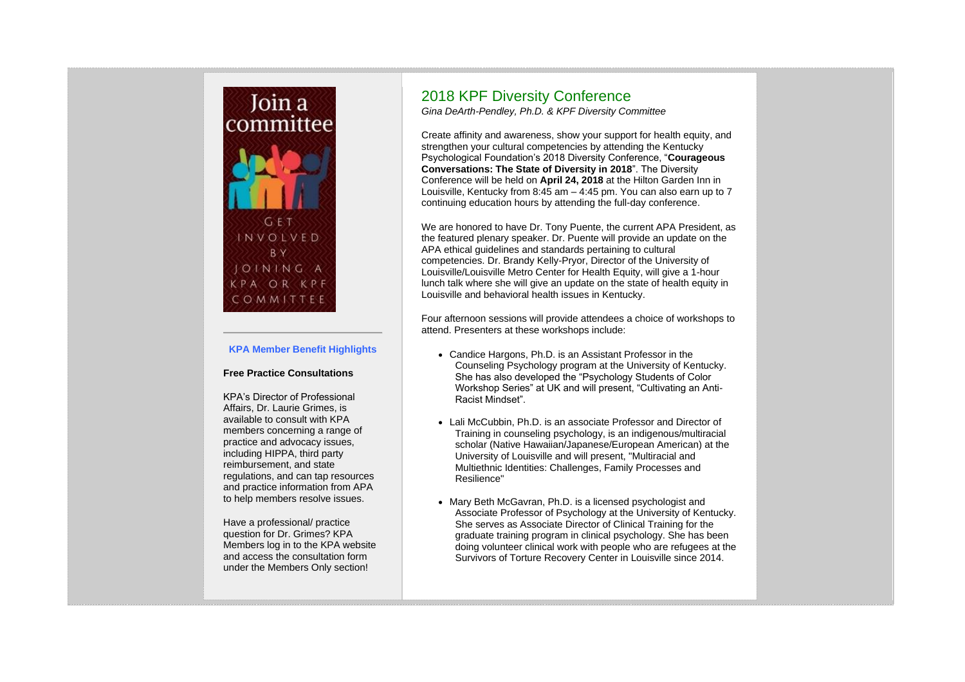

## **KPA Member Benefit Highlights**

### **Free Practice Consultations**

KPA's Director of Professional Affairs, Dr. Laurie Grimes, is available to consult with KPA members concerning a range of practice and advocacy issues, including HIPPA, third party reimbursement, and state regulations, and can tap resources and practice information from APA to help members resolve issues.

Have a professional/ practice question for Dr. Grimes? KPA Members log in to the KPA website and access the consultation form under the Members Only section!

## 2018 KPF Diversity Conference

*Gina DeArth-Pendley, Ph.D. & KPF Diversity Committee*

Create affinity and awareness, show your support for health equity, and strengthen your cultural competencies by attending the Kentucky Psychological Foundation's 2018 Diversity Conference, "**Courageous Conversations: The State of Diversity in 2018**". The Diversity Conference will be held on **April 24, 2018** at the Hilton Garden Inn in Louisville, Kentucky from 8:45 am – 4:45 pm. You can also earn up to 7 continuing education hours by attending the full-day conference.

We are honored to have Dr. Tony Puente, the current APA President, as the featured plenary speaker. Dr. Puente will provide an update on the APA ethical guidelines and standards pertaining to cultural competencies. Dr. Brandy Kelly-Pryor, Director of the University of Louisville/Louisville Metro Center for Health Equity, will give a 1-hour lunch talk where she will give an update on the state of health equity in Louisville and behavioral health issues in Kentucky.

Four afternoon sessions will provide attendees a choice of workshops to attend. Presenters at these workshops include:

- Candice Hargons, Ph.D. is an Assistant Professor in the Counseling Psychology program at the University of Kentucky. She has also developed the "Psychology Students of Color Workshop Series" at UK and will present, "Cultivating an Anti-Racist Mindset".
- Lali McCubbin, Ph.D. is an associate Professor and Director of Training in counseling psychology, is an indigenous/multiracial scholar (Native Hawaiian/Japanese/European American) at the University of Louisville and will present, "Multiracial and Multiethnic Identities: Challenges, Family Processes and Resilience"
- Mary Beth McGavran, Ph.D. is a licensed psychologist and Associate Professor of Psychology at the University of Kentucky. She serves as Associate Director of Clinical Training for the graduate training program in clinical psychology. She has been doing volunteer clinical work with people who are refugees at the Survivors of Torture Recovery Center in Louisville since 2014.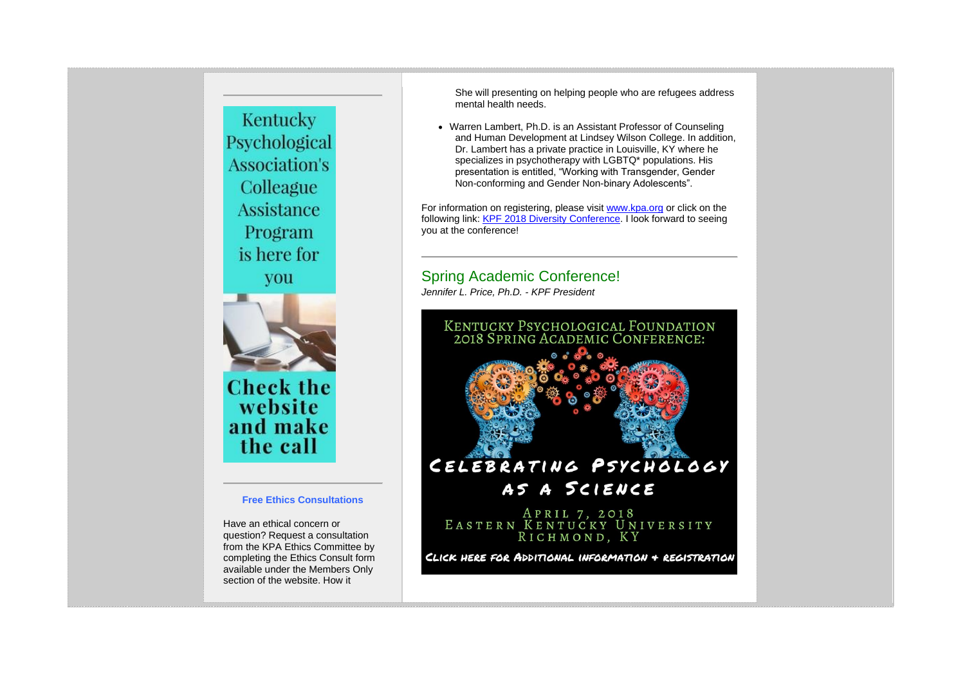## Kentucky Psychological **Association's** Colleague **Assistance** Program is here for you



**Check the** website and make the call

## **Free Ethics Consultations**

Have an ethical concern or question? Request a consultation from the KPA Ethics Committee by completing the Ethics Consult form available under the Members Only section of the website. How it

She will presenting on helping people who are refugees address mental health needs.

• Warren Lambert, Ph.D. is an Assistant Professor of Counseling and Human Development at Lindsey Wilson College. In addition, Dr. Lambert has a private practice in Louisville, KY where he specializes in psychotherapy with LGBTQ\* populations. His presentation is entitled, "Working with Transgender, Gender Non-conforming and Gender Non-binary Adolescents".

For information on registering, please visit [www.kpa.org](https://kpa.memberclicks.net/home) or click on the following link: [KPF 2018 Diversity Conference.](https://kpa.memberclicks.net/index.php?option=com_jevents&task=icalevent.detail&evid=30) I look forward to seeing you at the conference!

## Spring Academic Conference!

*Jennifer L. Price, Ph.D. - KPF President*

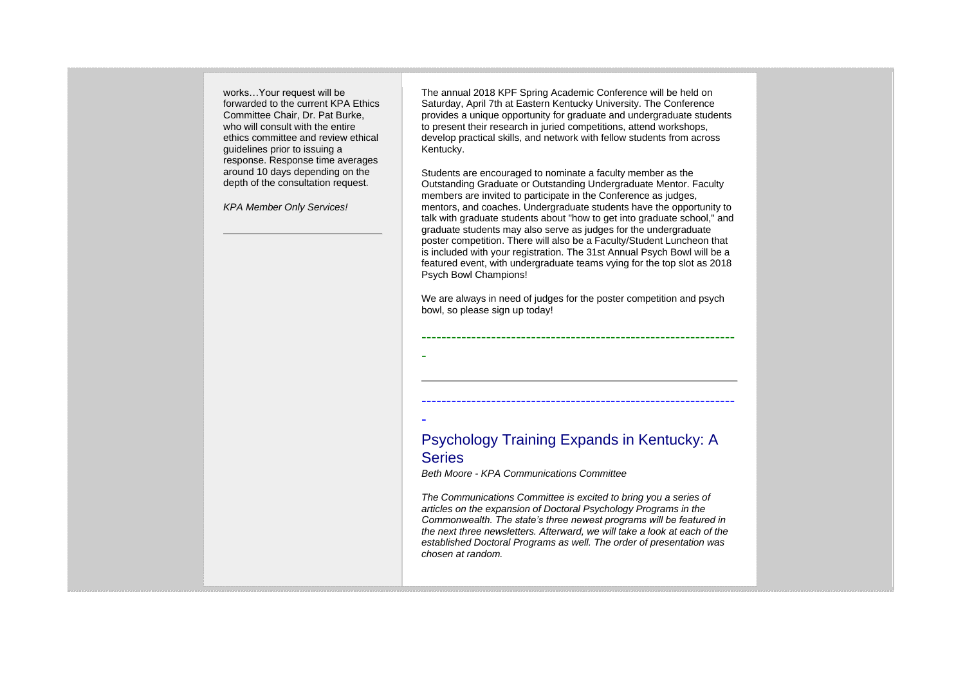works…Your request will be forwarded to the current KPA Ethics Committee Chair, Dr. Pat Burke, who will consult with the entire ethics committee and review ethical guidelines prior to issuing a response. Response time averages around 10 days depending on the depth of the consultation request.

*KPA Member Only Services!*

The annual 2018 KPF Spring Academic Conference will be held on Saturday, April 7th at Eastern Kentucky University. The Conference provides a unique opportunity for graduate and undergraduate students to present their research in juried competitions, attend workshops, develop practical skills, and network with fellow students from across Kentucky.

Students are encouraged to nominate a faculty member as the Outstanding Graduate or Outstanding Undergraduate Mentor. Faculty members are invited to participate in the Conference as judges, mentors, and coaches. Undergraduate students have the opportunity to talk with graduate students about "how to get into graduate school," and graduate students may also serve as judges for the undergraduate poster competition. There will also be a Faculty/Student Luncheon that is included with your registration. The 31st Annual Psych Bowl will be a featured event, with undergraduate teams vying for the top slot as 2018 Psych Bowl Champions!

We are always in need of judges for the poster competition and psych bowl, so please sign up today!

---------------------------------------------------------------

---------------------------------------------------------------

## Psychology Training Expands in Kentucky: A **Series**

*Beth Moore - KPA Communications Committee*

-

-

*The Communications Committee is excited to bring you a series of articles on the expansion of Doctoral Psychology Programs in the Commonwealth. The state's three newest programs will be featured in the next three newsletters. Afterward, we will take a look at each of the established Doctoral Programs as well. The order of presentation was chosen at random.*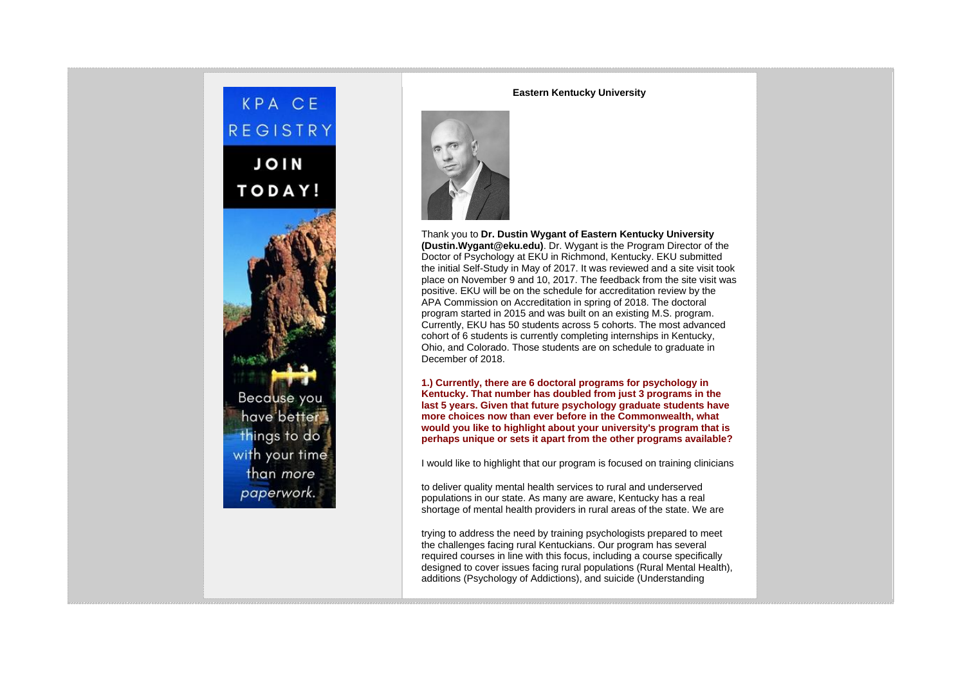# KPA CE REGISTRY **JOIN** TODAY!

Because you have better things to do with your time than more paperwork.

## **Eastern Kentucky University**



Thank you to **Dr. Dustin Wygant of Eastern Kentucky University (Dustin.Wygant@eku.edu)**. Dr. Wygant is the Program Director of the Doctor of Psychology at EKU in Richmond, Kentucky. EKU submitted the initial Self-Study in May of 2017. It was reviewed and a site visit took place on November 9 and 10, 2017. The feedback from the site visit was positive. EKU will be on the schedule for accreditation review by the APA Commission on Accreditation in spring of 2018. The doctoral program started in 2015 and was built on an existing M.S. program. Currently, EKU has 50 students across 5 cohorts. The most advanced cohort of 6 students is currently completing internships in Kentucky, Ohio, and Colorado. Those students are on schedule to graduate in December of 2018.

**1.) Currently, there are 6 doctoral programs for psychology in Kentucky. That number has doubled from just 3 programs in the last 5 years. Given that future psychology graduate students have more choices now than ever before in the Commonwealth, what would you like to highlight about your university's program that is perhaps unique or sets it apart from the other programs available?**

I would like to highlight that our program is focused on training clinicians

to deliver quality mental health services to rural and underserved populations in our state. As many are aware, Kentucky has a real shortage of mental health providers in rural areas of the state. We are

trying to address the need by training psychologists prepared to meet the challenges facing rural Kentuckians. Our program has several required courses in line with this focus, including a course specifically designed to cover issues facing rural populations (Rural Mental Health), additions (Psychology of Addictions), and suicide (Understanding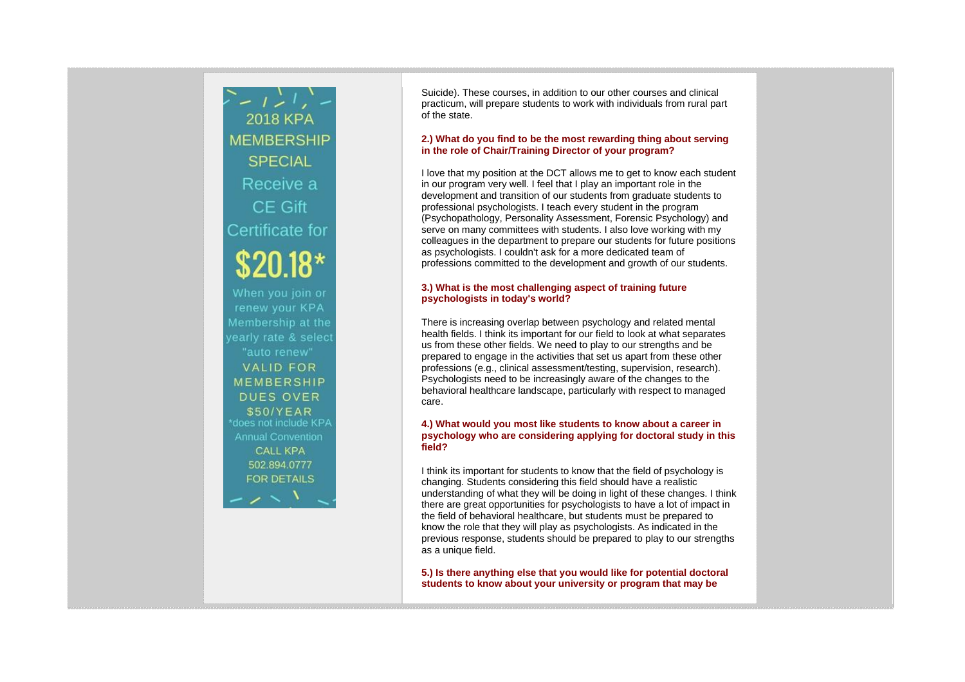$\sum_{i=1}^{n} \frac{1}{i} \sum_{i=1}^{n} \frac{1}{i} \sum_{i=1}^{n}$ **2018 KPA MEMBERSHIP SPECIAL** Receive a CE Gift Certificate for \$20.18\* When you join or renew your KPA Membership at the yearly rate & select "auto renew" **VALID FOR MEMBERSHIP DUES OVER** \$50/YEAR \*does not include KPA **Annual Convention CALL KPA** 502.894.0777 **FOR DETAILS** 

Suicide). These courses, in addition to our other courses and clinical practicum, will prepare students to work with individuals from rural part of the state.

## **2.) What do you find to be the most rewarding thing about serving in the role of Chair/Training Director of your program?**

I love that my position at the DCT allows me to get to know each student in our program very well. I feel that I play an important role in the development and transition of our students from graduate students to professional psychologists. I teach every student in the program (Psychopathology, Personality Assessment, Forensic Psychology) and serve on many committees with students. I also love working with my colleagues in the department to prepare our students for future positions as psychologists. I couldn't ask for a more dedicated team of professions committed to the development and growth of our students.

## **3.) What is the most challenging aspect of training future psychologists in today's world?**

There is increasing overlap between psychology and related mental health fields. I think its important for our field to look at what separates us from these other fields. We need to play to our strengths and be prepared to engage in the activities that set us apart from these other professions (e.g., clinical assessment/testing, supervision, research). Psychologists need to be increasingly aware of the changes to the behavioral healthcare landscape, particularly with respect to managed care.

## **4.) What would you most like students to know about a career in psychology who are considering applying for doctoral study in this field?**

I think its important for students to know that the field of psychology is changing. Students considering this field should have a realistic understanding of what they will be doing in light of these changes. I think there are great opportunities for psychologists to have a lot of impact in the field of behavioral healthcare, but students must be prepared to know the role that they will play as psychologists. As indicated in the previous response, students should be prepared to play to our strengths as a unique field.

**5.) Is there anything else that you would like for potential doctoral students to know about your university or program that may be**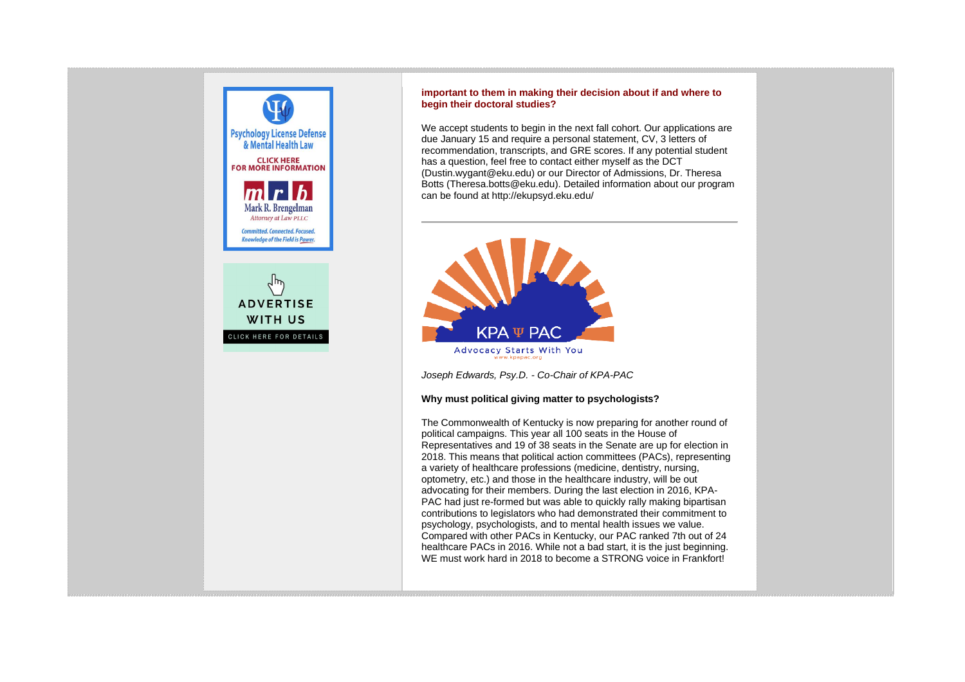

## **important to them in making their decision about if and where to begin their doctoral studies?**

We accept students to begin in the next fall cohort. Our applications are due January 15 and require a personal statement, CV, 3 letters of recommendation, transcripts, and GRE scores. If any potential student has a question, feel free to contact either myself as the DCT (Dustin.wygant@eku.edu) or our Director of Admissions, Dr. Theresa Botts (Theresa.botts@eku.edu). Detailed information about our program can be found at http://ekupsyd.eku.edu/



*Joseph Edwards, Psy.D. - Co-Chair of KPA-PAC*

## **Why must political giving matter to psychologists?**

The Commonwealth of Kentucky is now preparing for another round of political campaigns. This year all 100 seats in the House of Representatives and 19 of 38 seats in the Senate are up for election in 2018. This means that political action committees (PACs), representing a variety of healthcare professions (medicine, dentistry, nursing, optometry, etc.) and those in the healthcare industry, will be out advocating for their members. During the last election in 2016, KPA-PAC had just re-formed but was able to quickly rally making bipartisan contributions to legislators who had demonstrated their commitment to psychology, psychologists, and to mental health issues we value. Compared with other PACs in Kentucky, our PAC ranked 7th out of 24 healthcare PACs in 2016. While not a bad start, it is the just beginning. WE must work hard in 2018 to become a STRONG voice in Frankfort!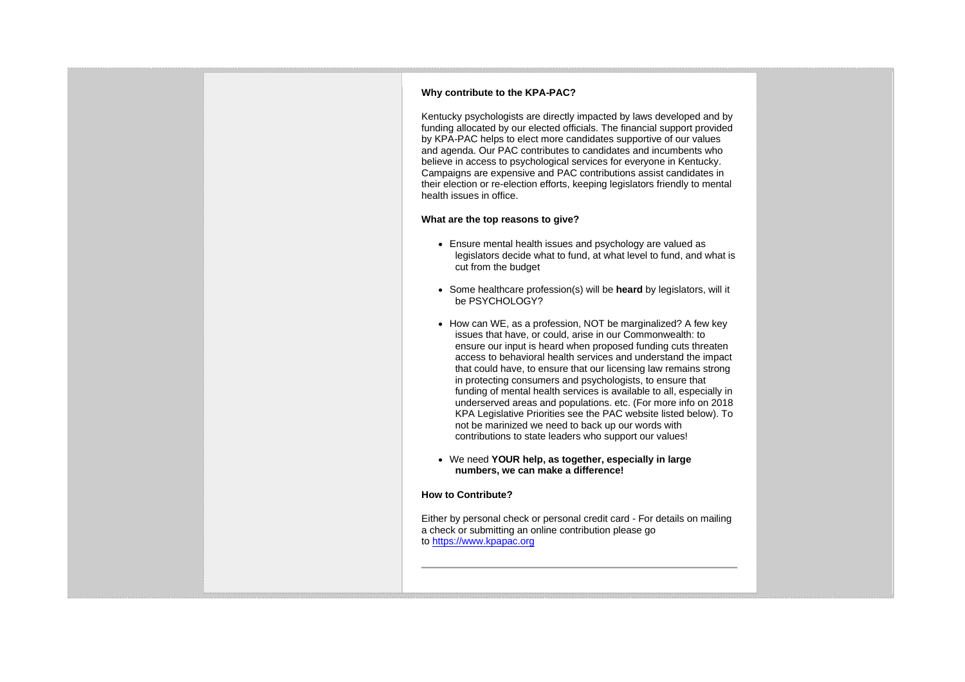## **Why contribute to the KPA-PAC?**

Kentucky psychologists are directly impacted by laws developed and by funding allocated by our elected officials. The financial support provided by KPA-PAC helps to elect more candidates supportive of our values and agenda. Our PAC contributes to candidates and incumbents who believe in access to psychological services for everyone in Kentucky. Campaigns are expensive and PAC contributions assist candidates in their election or re-election efforts, keeping legislators friendly to mental health issues in office.

## **What are the top reasons to give?**

- Ensure mental health issues and psychology are valued as legislators decide what to fund, at what level to fund, and what is cut from the budget
- Some healthcare profession(s) will be **heard** by legislators, will it be PSYCHOLOGY?
- How can WE, as a profession, NOT be marginalized? A few key issues that have, or could, arise in our Commonwealth: to ensure our input is heard when proposed funding cuts threaten access to behavioral health services and understand the impact that could have, to ensure that our licensing law remains strong in protecting consumers and psychologists, to ensure that funding of mental health services is available to all, especially in underserved areas and populations. etc. (For more info on 2018 KPA Legislative Priorities see the PAC website listed below). To not be marinized we need to back up our words with contributions to state leaders who support our values!
- We need **YOUR help, as together, especially in large numbers, we can make a difference!**

## **How to Contribute?**

Either by personal check or personal credit card - For details on mailing a check or submitting an online contribution please go to [https://www.kpapac.org](https://www.kpapac.org/)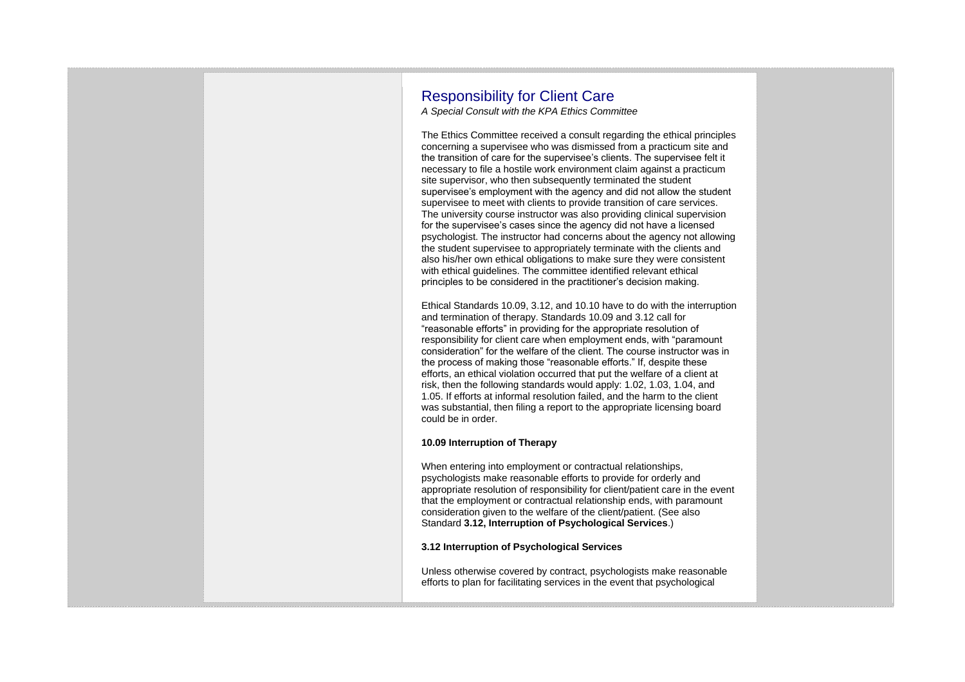## Responsibility for Client Care

*A Special Consult with the KPA Ethics Committee*

The Ethics Committee received a consult regarding the ethical principles concerning a supervisee who was dismissed from a practicum site and the transition of care for the supervisee's clients. The supervisee felt it necessary to file a hostile work environment claim against a practicum site supervisor, who then subsequently terminated the student supervisee's employment with the agency and did not allow the student supervisee to meet with clients to provide transition of care services. The university course instructor was also providing clinical supervision for the supervisee's cases since the agency did not have a licensed psychologist. The instructor had concerns about the agency not allowing the student supervisee to appropriately terminate with the clients and also his/her own ethical obligations to make sure they were consistent with ethical guidelines. The committee identified relevant ethical principles to be considered in the practitioner's decision making.

Ethical Standards 10.09, 3.12, and 10.10 have to do with the interruption and termination of therapy. Standards 10.09 and 3.12 call for "reasonable efforts" in providing for the appropriate resolution of responsibility for client care when employment ends, with "paramount consideration" for the welfare of the client. The course instructor was in the process of making those "reasonable efforts." If, despite these efforts, an ethical violation occurred that put the welfare of a client at risk, then the following standards would apply: 1.02, 1.03, 1.04, and 1.05. If efforts at informal resolution failed, and the harm to the client was substantial, then filing a report to the appropriate licensing board could be in order.

## **10.09 Interruption of Therapy**

When entering into employment or contractual relationships, psychologists make reasonable efforts to provide for orderly and appropriate resolution of responsibility for client/patient care in the event that the employment or contractual relationship ends, with paramount consideration given to the welfare of the client/patient. (See also Standard **3.12, Interruption of Psychological Services**.)

## **3.12 Interruption of Psychological Services**

Unless otherwise covered by contract, psychologists make reasonable efforts to plan for facilitating services in the event that psychological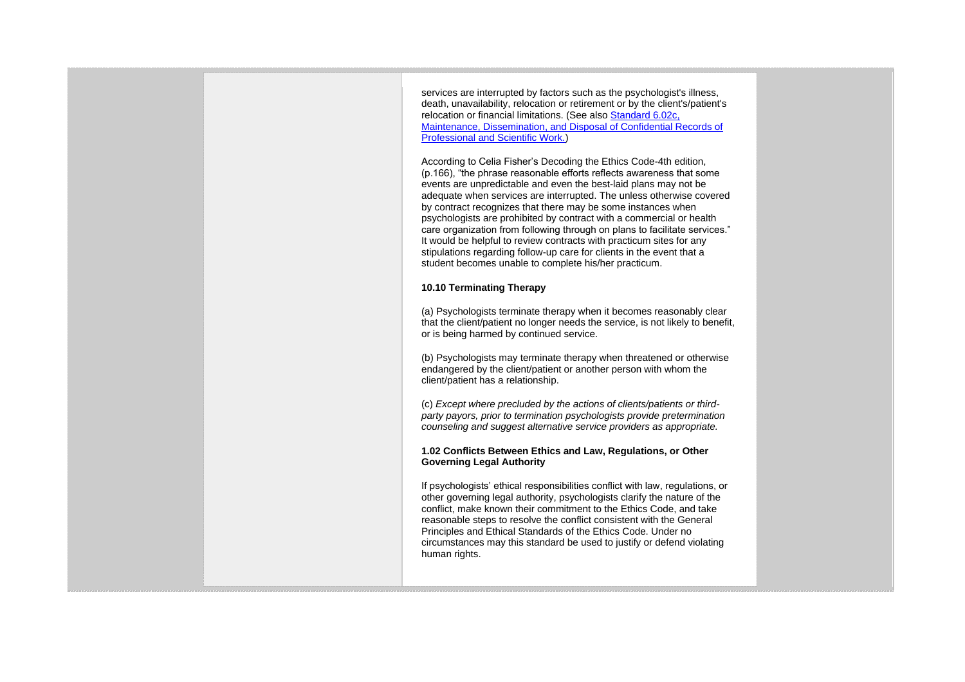services are interrupted by factors such as the psychologist's illness, death, unavailability, relocation or retirement or by the client's/patient's relocation or financial limitations. (See also [Standard 6.02c,](http://www.apa.org/ethics/code/?item=9#602c)  [Maintenance, Dissemination, and Disposal of Confidential Records of](http://www.apa.org/ethics/code/?item=9#602c)  [Professional and Scientific Work.\)](http://www.apa.org/ethics/code/?item=9#602c)

According to Celia Fisher's Decoding the Ethics Code-4th edition, (p.166), "the phrase reasonable efforts reflects awareness that some events are unpredictable and even the best-laid plans may not be adequate when services are interrupted. The unless otherwise covered by contract recognizes that there may be some instances when psychologists are prohibited by contract with a commercial or health care organization from following through on plans to facilitate services." It would be helpful to review contracts with practicum sites for any stipulations regarding follow-up care for clients in the event that a student becomes unable to complete his/her practicum.

## **10.10 Terminating Therapy**

(a) Psychologists terminate therapy when it becomes reasonably clear that the client/patient no longer needs the service, is not likely to benefit, or is being harmed by continued service.

(b) Psychologists may terminate therapy when threatened or otherwise endangered by the client/patient or another person with whom the client/patient has a relationship.

(c) *Except where precluded by the actions of clients/patients or thirdparty payors, prior to termination psychologists provide pretermination counseling and suggest alternative service providers as appropriate.*

## **1.02 Conflicts Between Ethics and Law, Regulations, or Other Governing Legal Authority**

If psychologists' ethical responsibilities conflict with law, regulations, or other governing legal authority, psychologists clarify the nature of the conflict, make known their commitment to the Ethics Code, and take reasonable steps to resolve the conflict consistent with the General Principles and Ethical Standards of the Ethics Code. Under no circumstances may this standard be used to justify or defend violating human rights.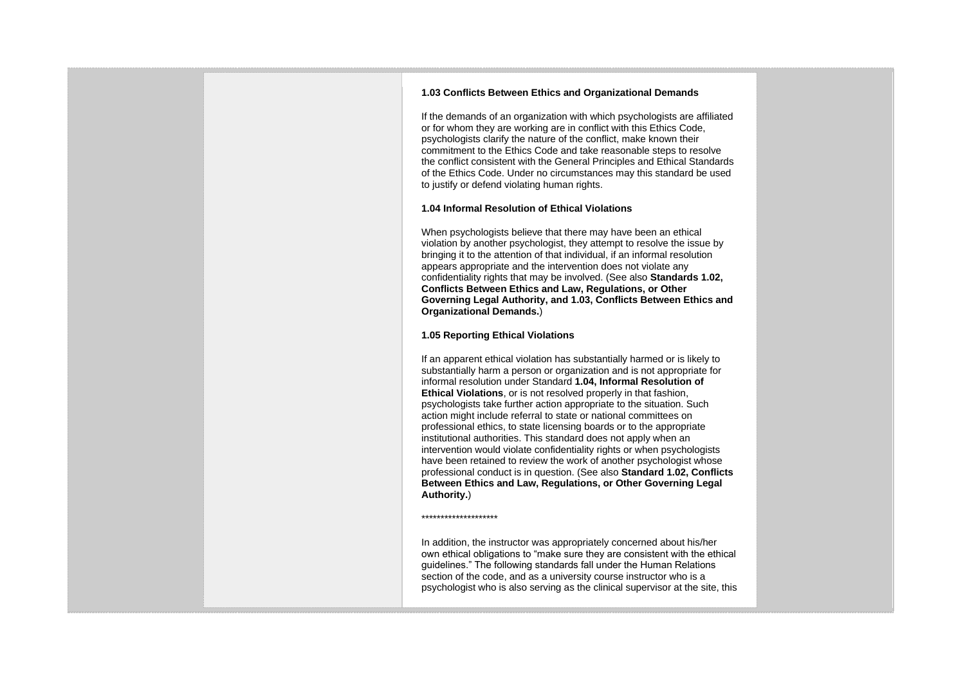## **1.03 Conflicts Between Ethics and Organizational Demands**

If the demands of an organization with which psychologists are affiliated or for whom they are working are in conflict with this Ethics Code, psychologists clarify the nature of the conflict, make known their commitment to the Ethics Code and take reasonable steps to resolve the conflict consistent with the General Principles and Ethical Standards of the Ethics Code. Under no circumstances may this standard be used to justify or defend violating human rights.

## **1.04 Informal Resolution of Ethical Violations**

When psychologists believe that there may have been an ethical violation by another psychologist, they attempt to resolve the issue by bringing it to the attention of that individual, if an informal resolution appears appropriate and the intervention does not violate any confidentiality rights that may be involved. (See also **Standards 1.02, Conflicts Between Ethics and Law, Regulations, or Other Governing Legal Authority, and 1.03, Conflicts Between Ethics and Organizational Demands.**)

#### **1.05 Reporting Ethical Violations**

If an apparent ethical violation has substantially harmed or is likely to substantially harm a person or organization and is not appropriate for informal resolution under Standard **1.04, Informal Resolution of Ethical Violations**, or is not resolved properly in that fashion, psychologists take further action appropriate to the situation. Such action might include referral to state or national committees on professional ethics, to state licensing boards or to the appropriate institutional authorities. This standard does not apply when an intervention would violate confidentiality rights or when psychologists have been retained to review the work of another psychologist whose professional conduct is in question. (See also **Standard 1.02, Conflicts Between Ethics and Law, Regulations, or Other Governing Legal Authority.**)

\*\*\*\*\*\*\*\*\*\*\*\*\*\*\*\*\*\*\*\*

In addition, the instructor was appropriately concerned about his/her own ethical obligations to "make sure they are consistent with the ethical guidelines." The following standards fall under the Human Relations section of the code, and as a university course instructor who is a psychologist who is also serving as the clinical supervisor at the site, this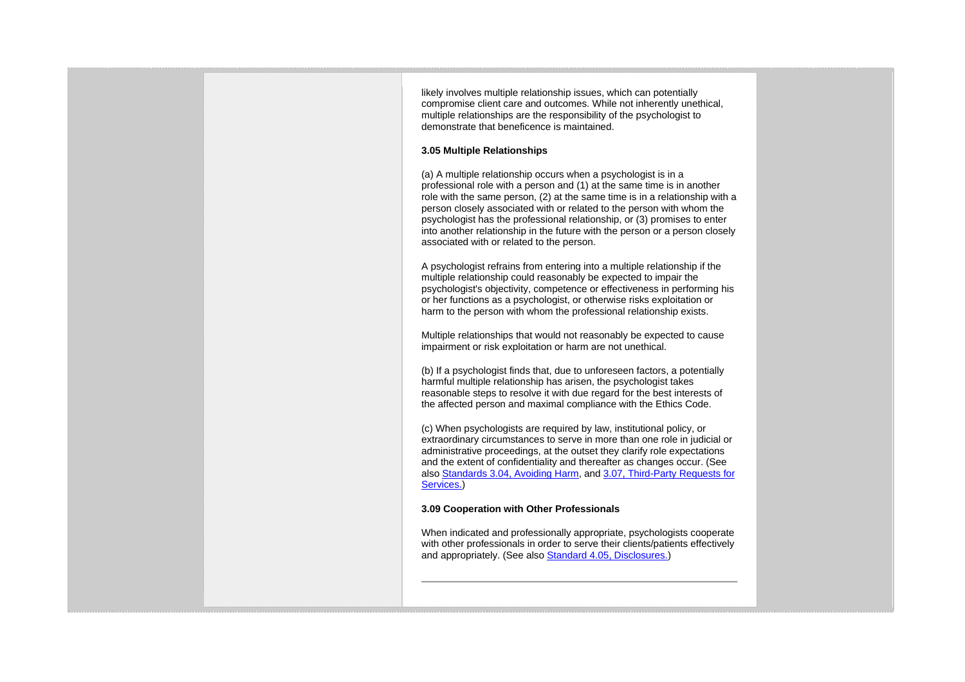likely involves multiple relationship issues, which can potentially compromise client care and outcomes. While not inherently unethical, multiple relationships are the responsibility of the psychologist to demonstrate that beneficence is maintained.

## **3.05 Multiple Relationships**

(a) A multiple relationship occurs when a psychologist is in a professional role with a person and (1) at the same time is in another role with the same person, (2) at the same time is in a relationship with a person closely associated with or related to the person with whom the psychologist has the professional relationship, or (3) promises to enter into another relationship in the future with the person or a person closely associated with or related to the person.

A psychologist refrains from entering into a multiple relationship if the multiple relationship could reasonably be expected to impair the psychologist's objectivity, competence or effectiveness in performing his or her functions as a psychologist, or otherwise risks exploitation or harm to the person with whom the professional relationship exists.

Multiple relationships that would not reasonably be expected to cause impairment or risk exploitation or harm are not unethical.

(b) If a psychologist finds that, due to unforeseen factors, a potentially harmful multiple relationship has arisen, the psychologist takes reasonable steps to resolve it with due regard for the best interests of the affected person and maximal compliance with the Ethics Code.

(c) When psychologists are required by law, institutional policy, or extraordinary circumstances to serve in more than one role in judicial or administrative proceedings, at the outset they clarify role expectations and the extent of confidentiality and thereafter as changes occur. (See also [Standards 3.04, Avoiding Harm,](http://www.apa.org/ethics/code/#304) and [3.07, Third-Party Requests for](http://www.apa.org/ethics/code/#307)  [Services.\)](http://www.apa.org/ethics/code/#307)

#### **3.09 Cooperation with Other Professionals**

When indicated and professionally appropriate, psychologists cooperate with other professionals in order to serve their clients/patients effectively and appropriately. (See also [Standard 4.05, Disclosures.\)](http://www.apa.org/ethics/code/?item=7#405)